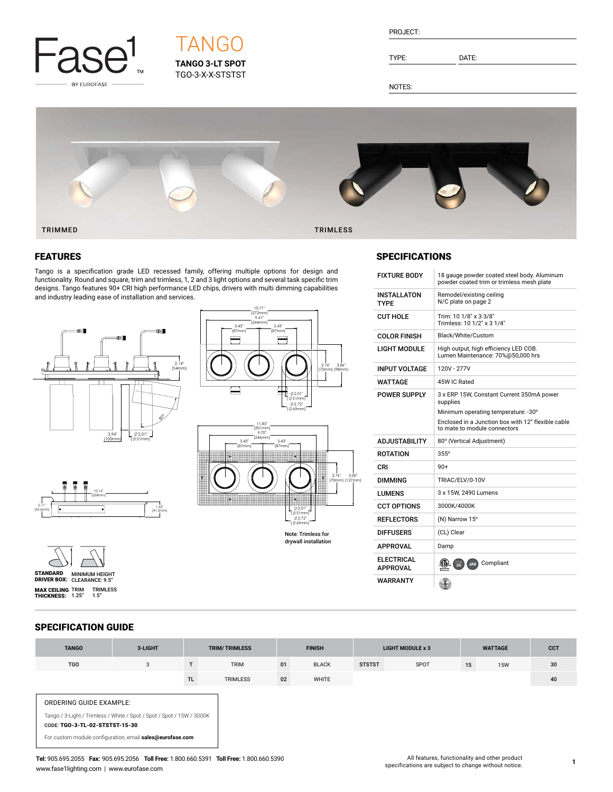

# **TANGO 3-LT SPOT** TGO-3-X-X-STSTST **TANGO**

| PROJECT: |  |
|----------|--|
|          |  |

TYPE: DATE:

NOTES:



# **FEATURES**

Tango is a specification grade LED recessed family, offering multiple options for design and functionality. Round and square, trim and trimless, 1, 2 and 3 light options and several task specific trim designs. Tango features 90+ CRI high performance LED chips, drivers with multi dimming capabilities and industry leading ease of installation and services.







STANDARD MINIMUM HEIGHT<br>DRIVER BOX: CLEARANCE: 9.5" **MAX CEILING** TRIM TRIMLESS<br>**THICKNESS:** 1.25" 1.5"

#### 3.43" (87mm) (87mm) F 2.76" 3.86" (70mm) (98mm) 2.01" (Ø51mm) 2.72" ( 69mm) 11.85" (301mm) 9.70" (246mm) 3.43" 3.43" (87mm) (87mm) 2.76" 5.00" (70mm) (127mm) 2.01" (Ø51mm) 2.72"

10.71"  $(27)$ 

9.61" (244mm)

3.43"

Note: Trimless for drywall installation (Ø69mm)

# **SPECIFICATIONS**

| <b>FIXTURE BODY</b>               | 18 gauge powder coated steel body. Aluminum<br>powder coated trim or trimless mesh plate |  |  |  |
|-----------------------------------|------------------------------------------------------------------------------------------|--|--|--|
| <b>INSTALLATON</b><br><b>TYPF</b> | Remodel/existing ceiling<br>N/C plate on page 2                                          |  |  |  |
| CUT HOLE                          | Trim: 10 1/8" x 3 3/8"<br>Trimless: 10 1/2" x 3 1/4"                                     |  |  |  |
| <b>COLOR FINISH</b>               | Black/White/Custom                                                                       |  |  |  |
| I IGHT MODULE                     | High output, high efficiency LED COB.<br>Lumen Maintenance: 70%@50,000 hrs               |  |  |  |
| <b>INPUT VOLTAGE</b>              | 120V - 277V                                                                              |  |  |  |
| WATTAGE                           | 45W IC Rated                                                                             |  |  |  |
| <b>POWER SUPPLY</b>               | 3 x ERP 15W, Constant Current 350mA power<br>supplies                                    |  |  |  |
|                                   | Minimum operating temperature: -30°                                                      |  |  |  |
|                                   | Enclosed in a Junction box with 12" flexible cable<br>to mate to module connectors       |  |  |  |
| <b>ADJUSTABILITY</b>              | 80° (Vertical Adjustment)                                                                |  |  |  |
| <b>ROTATION</b>                   | 355°                                                                                     |  |  |  |
| CRI                               | $90+$                                                                                    |  |  |  |
| <b>DIMMING</b>                    | TRIAC/ELV/0-10V                                                                          |  |  |  |
| LUMENS                            | 3 x 15W, 2490 Lumens                                                                     |  |  |  |
| CCT OPTIONS                       | 3000K/4000K                                                                              |  |  |  |
| <b>REFLECTORS</b>                 | (N) Narrow 15°                                                                           |  |  |  |
| DIFFUSERS                         | (CL) Clear                                                                               |  |  |  |
| <b>APPROVAL</b>                   | Damp                                                                                     |  |  |  |
| <b>ELECTRICAL</b><br>APPROVAL     | Compliant<br>JAB<br>etertak                                                              |  |  |  |
| WARRANTY                          |                                                                                          |  |  |  |

# SPECIFICATION GUIDE

| <b>TANGO</b>                                                                                            | 3-LIGHT |     | <b>TRIM/TRIMLESS</b> |    | <b>FINISH</b> |               | <b>LIGHT MODULE x 3</b> |    | <b>WATTAGE</b> | <b>CCT</b> |
|---------------------------------------------------------------------------------------------------------|---------|-----|----------------------|----|---------------|---------------|-------------------------|----|----------------|------------|
| <b>TGO</b>                                                                                              | 3       |     | <b>TRIM</b>          | 01 | <b>BLACK</b>  | <b>STSTST</b> | SPOT                    | 15 | <b>15W</b>     | 30         |
|                                                                                                         |         | TL. | <b>TRIMLESS</b>      | 02 | <b>WHITE</b>  |               |                         |    |                | 40         |
| ORDERING GUIDE EXAMPLE:                                                                                 |         |     |                      |    |               |               |                         |    |                |            |
| Tango / 3-Light / Trimless / White / Spot / Spot / Spot / 15W / 3000K<br>CODE: TGO-3-TL-02-STSTST-15-30 |         |     |                      |    |               |               |                         |    |                |            |
| For custom module configuration, email sales@eurofase.com                                               |         |     |                      |    |               |               |                         |    |                |            |